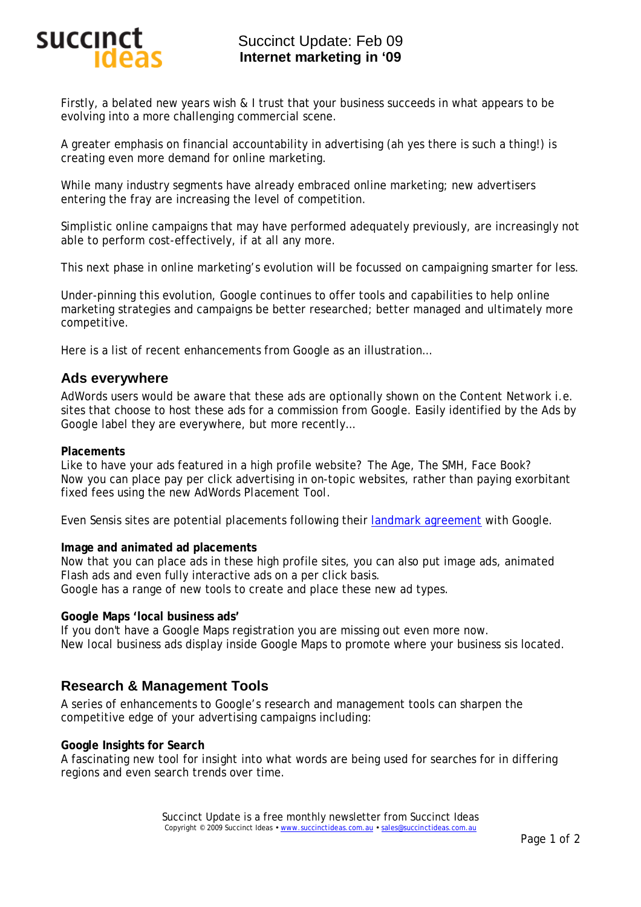

# Succinct Update: Feb 09 **Internet marketing in '09**

Firstly, a belated new years wish & I trust that your business succeeds in what appears to be evolving into a more challenging commercial scene.

A greater emphasis on financial accountability in advertising (ah yes there is such a thing!) is creating even more demand for online marketing.

While many industry segments have already embraced online marketing; new advertisers entering the fray are increasing the level of competition.

Simplistic online campaigns that may have performed adequately previously, are increasingly not able to perform cost-effectively, if at all any more.

This next phase in online marketing's evolution will be focussed on campaigning smarter for less.

Under-pinning this evolution, Google continues to offer tools and capabilities to help online marketing strategies and campaigns be better researched; better managed and ultimately more competitive.

Here is a list of recent enhancements from Google as an illustration…

## **Ads everywhere**

AdWords users would be aware that these ads are optionally shown on the *Content Network* i.e. sites that choose to host these ads for a commission from Google. Easily identified by the *Ads by Google* label they are everywhere, but more recently…

### **Placements**

Like to have your ads featured in a high profile website? The Age, The SMH, Face Book? Now you can place pay per click advertising in *on-topic* websites, rather than paying exorbitant fixed fees using the new AdWords *Placement Tool*.

Even Sensis sites are potential placements following their landmark agreement with Google.

### **Image and animated ad placements**

Now that you can place ads in these high profile sites, you can also put image ads, animated Flash ads and even fully interactive ads on a per click basis. Google has a range of new tools to create and place these new ad types.

### **Google Maps 'local business ads'**

If you don't have a Google Maps registration you are missing out even more now. New *local business ads* display inside Google Maps to promote where your business sis located.

## **Research & Management Tools**

A series of enhancements to Google's research and management tools can sharpen the competitive edge of your advertising campaigns including:

### **Google Insights for Search**

A fascinating new tool for *insight* into what words are being used for searches for in differing regions and even search trends over time.